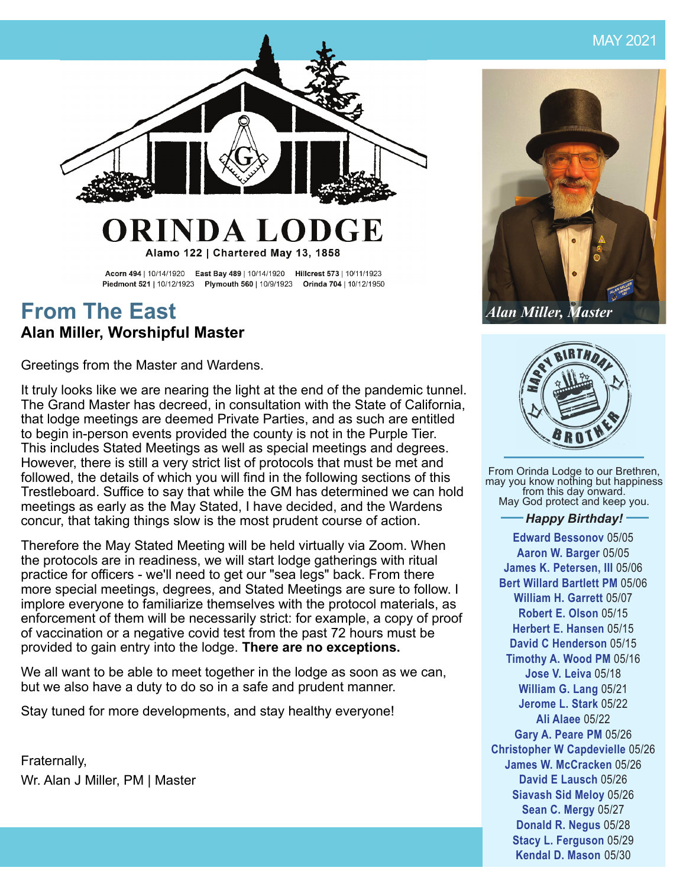

### ORINDA LOI **DGE**

Alamo 122 | Chartered May 13, 1858

Acorn 494 | 10/14/1920 East Bay 489 | 10/14/1920 Hillcrest 573 | 10/11/1923 Piedmont 521 | 10/12/1923 Plymouth 560 | 10/9/1923 Orinda 704 | 10/12/1950

## **From The East Alan Miller, Worshipful Master**

Greetings from the Master and Wardens.

It truly looks like we are nearing the light at the end of the pandemic tunnel. The Grand Master has decreed, in consultation with the State of California, that lodge meetings are deemed Private Parties, and as such are entitled to begin in-person events provided the county is not in the Purple Tier. This includes Stated Meetings as well as special meetings and degrees. However, there is still a very strict list of protocols that must be met and followed, the details of which you will find in the following sections of this Trestleboard. Suffice to say that while the GM has determined we can hold meetings as early as the May Stated, I have decided, and the Wardens concur, that taking things slow is the most prudent course of action.

Therefore the May Stated Meeting will be held virtually via Zoom. When the protocols are in readiness, we will start lodge gatherings with ritual practice for officers - we'll need to get our "sea legs" back. From there more special meetings, degrees, and Stated Meetings are sure to follow. I implore everyone to familiarize themselves with the protocol materials, as enforcement of them will be necessarily strict: for example, a copy of proof of vaccination or a negative covid test from the past 72 hours must be provided to gain entry into the lodge. **There are no exceptions.**

We all want to be able to meet together in the lodge as soon as we can, but we also have a duty to do so in a safe and prudent manner.

Stay tuned for more developments, and stay healthy everyone!

Fraternally, Wr. Alan J Miller, PM | Master



*Alan Miller, Master*



From Orinda Lodge to our Brethren, may you know nothing but happiness from this day onward. May God protect and keep you.

#### *Happy Birthday!*

**Edward Bessonov** 05/05 **Aaron W. Barger** 05/05 **James K. Petersen, III** 05/06 **Bert Willard Bartlett PM** 05/06 **William H. Garrett** 05/07 **Robert E. Olson** 05/15 **Herbert E. Hansen** 05/15 **David C Henderson** 05/15 **Timothy A. Wood PM** 05/16 **Jose V. Leiva** 05/18 **William G. Lang** 05/21 **Jerome L. Stark** 05/22 **Ali Alaee** 05/22 **Gary A. Peare PM** 05/26 **Christopher W Capdevielle** 05/26 **James W. McCracken** 05/26 **David E Lausch** 05/26 **Siavash Sid Meloy** 05/26 **Sean C. Mergy** 05/27 **Donald R. Negus** 05/28 **Stacy L. Ferguson** 05/29 **Kendal D. Mason** 05/30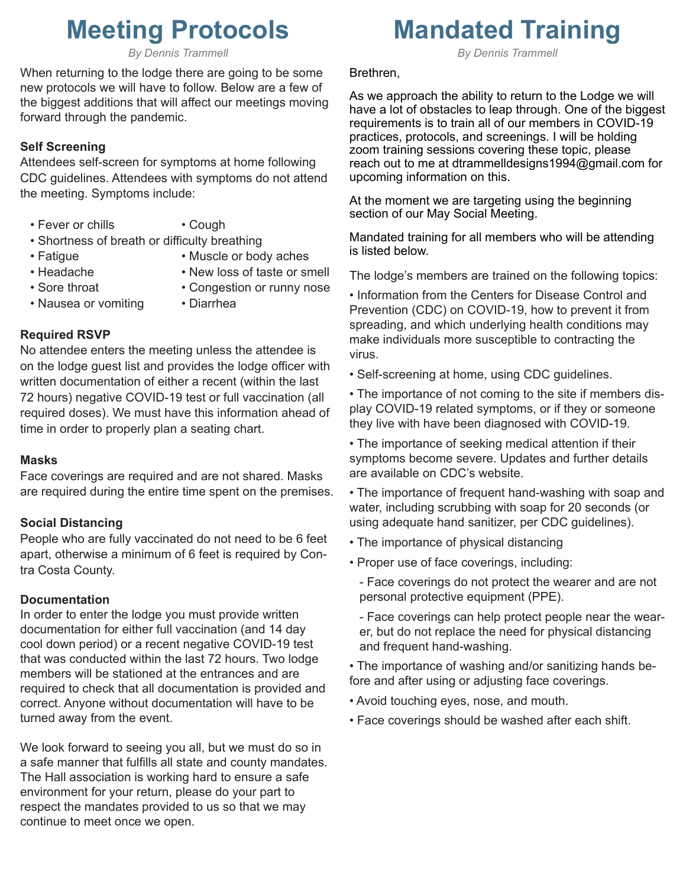# **Meeting Protocols**

*By Dennis Trammell*

When returning to the lodge there are going to be some new protocols we will have to follow. Below are a few of the biggest additions that will affect our meetings moving forward through the pandemic.

#### **Self Screening**

Attendees self-screen for symptoms at home following CDC guidelines. Attendees with symptoms do not attend the meeting. Symptoms include:

- Fever or chills Cough
	-
- Shortness of breath or difficulty breathing
- 
- Fatigue Muscle or body aches
- 
- Headache New loss of taste or smell • Sore throat • Congestion or runny nose
- Nausea or vomiting Diarrhea
	-

#### **Required RSVP**

No attendee enters the meeting unless the attendee is on the lodge guest list and provides the lodge officer with written documentation of either a recent (within the last 72 hours) negative COVID-19 test or full vaccination (all required doses). We must have this information ahead of time in order to properly plan a seating chart.

#### **Masks**

Face coverings are required and are not shared. Masks are required during the entire time spent on the premises.

#### **Social Distancing**

People who are fully vaccinated do not need to be 6 feet apart, otherwise a minimum of 6 feet is required by Contra Costa County.

#### **Documentation**

In order to enter the lodge you must provide written documentation for either full vaccination (and 14 day cool down period) or a recent negative COVID-19 test that was conducted within the last 72 hours. Two lodge members will be stationed at the entrances and are required to check that all documentation is provided and correct. Anyone without documentation will have to be turned away from the event.

We look forward to seeing you all, but we must do so in a safe manner that fulfills all state and county mandates. The Hall association is working hard to ensure a safe environment for your return, please do your part to respect the mandates provided to us so that we may continue to meet once we open.

## **Mandated Training**

*By Dennis Trammell*

#### Brethren,

As we approach the ability to return to the Lodge we will have a lot of obstacles to leap through. One of the biggest requirements is to train all of our members in COVID-19 practices, protocols, and screenings. I will be holding zoom training sessions covering these topic, please reach out to me at dtrammelldesigns1994@gmail.com for upcoming information on this.

At the moment we are targeting using the beginning section of our May Social Meeting.

Mandated training for all members who will be attending is listed below.

The lodge's members are trained on the following topics:

• Information from the Centers for Disease Control and Prevention (CDC) on COVID-19, how to prevent it from spreading, and which underlying health conditions may make individuals more susceptible to contracting the virus.

• Self-screening at home, using CDC guidelines.

• The importance of not coming to the site if members display COVID-19 related symptoms, or if they or someone they live with have been diagnosed with COVID-19.

- The importance of seeking medical attention if their symptoms become severe. Updates and further details are available on CDC's website.
- The importance of frequent hand-washing with soap and water, including scrubbing with soap for 20 seconds (or using adequate hand sanitizer, per CDC guidelines).
- The importance of physical distancing
- Proper use of face coverings, including:

- Face coverings do not protect the wearer and are not personal protective equipment (PPE).

- Face coverings can help protect people near the wearer, but do not replace the need for physical distancing and frequent hand-washing.

• The importance of washing and/or sanitizing hands before and after using or adjusting face coverings.

- Avoid touching eyes, nose, and mouth.
- Face coverings should be washed after each shift.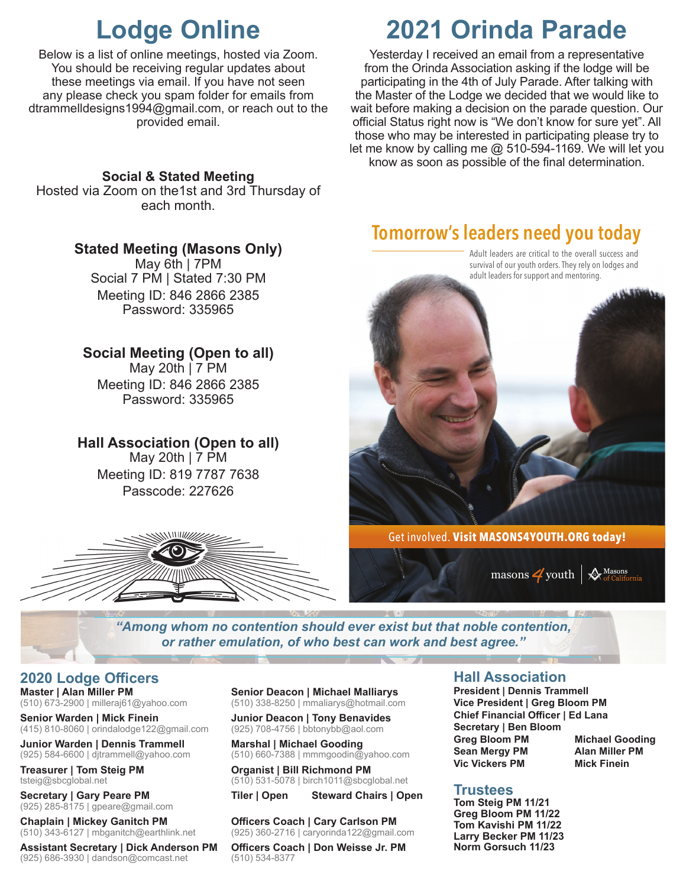## **Lodge Online**

Below is a list of online meetings, hosted via Zoom. You should be receiving regular updates about these meetings via email. If you have not seen any please check you spam folder for emails from dtrammelldesigns1994@gmail.com, or reach out to the provided email.

### **Social & Stated Meeting**

Hosted via Zoom on the1st and 3rd Thursday of each month.

## **Stated Meeting (Masons Only)**

May 6th | 7PM Social 7 PM | Stated 7:30 PM Meeting ID: 846 2866 2385 Password: 335965

## **Social Meeting (Open to all)**

May 20th | 7 PM Meeting ID: 846 2866 2385 Password: 335965

## **Hall Association (Open to all)**

May 20th | 7 PM Meeting ID: 819 7787 7638 Passcode: 227626



# **2021 Orinda Parade**

Yesterday I received an email from a representative from the Orinda Association asking if the lodge will be participating in the 4th of July Parade. After talking with the Master of the Lodge we decided that we would like to wait before making a decision on the parade question. Our official Status right now is "We don't know for sure yet". All those who may be interested in participating please try to let me know by calling me  $@$  510-594-1169. We will let you know as soon as possible of the final determination.

## **Tomorrow's leaders need you today**



Masons<br>of Califo masons  $\frac{4}{1}$  youth |

*"Among whom no contention should ever exist but that noble contention, or rather emulation, of who best can work and best agree."*

### **2020 Lodge Offi cers**

**Master | Alan Miller PM** (510) 673-2900 | milleraj61@yahoo.com

**Senior Warden | Mick Finein** (415) 810-8060 | orindalodge122@gmail.com

**Junior Warden | Dennis Trammell** (925) 584-6600 | djtrammell@yahoo.com

**Treasurer | Tom Steig PM** tsteig@sbcglobal.net

**Secretary | Gary Peare PM** (925) 285-8175 | gpeare@gmail.com

**Chaplain | Mickey Ganitch PM** (510) 343-6127 | mbganitch@earthlink.net

**Assistant Secretary | Dick Anderson PM** (925) 686-3930 | dandson@comcast.net

**Senior Deacon | Michael Malliarys** (510) 338-8250 | mmaliarys@hotmail.com

**Junior Deacon | Tony Benavides** (925) 708-4756 | bbtonybb@aol.com

**Marshal | Michael Gooding** (510) 660-7388 | mmmgoodin@yahoo.com

**Organist | Bill Richmond PM** (510) 531-5078 | birch1011@sbcglobal.net

**Tiler | Open Steward Chairs | Open**

**Officers Coach | Cary Carlson PM** (925) 360-2716 | caryorinda122@gmail.com

**Offi cers Coach | Don Weisse Jr. PM** (510) 534-8377

### **Hall Association**

**President | Dennis Trammell Vice President | Greg Bloom PM Chief Financial Offi cer | Ed Lana Secretary | Ben Bloom Greg Bloom PM Michael Gooding Sean Mergy PM Alan Miller PM Vic Vickers PM Mick Finein** 

### **Trustees**

**Tom Steig PM 11/21 Greg Bloom PM 11/22 Tom Kavishi PM 11/22 Larry Becker PM 11/23 Norm Gorsuch 11/23**